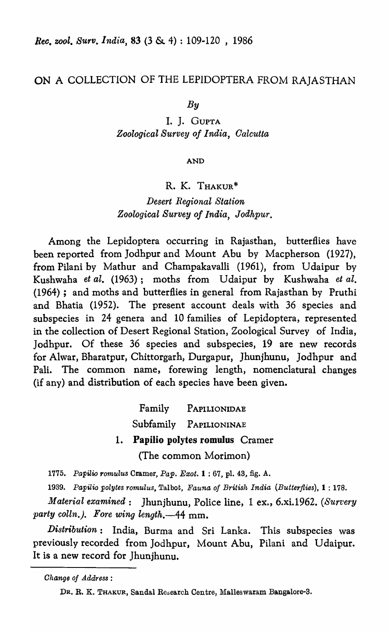## ON A COLLECTION OF THE LEPIDOPTERA FROM RAJASTHAN

*By* 

I. J. GUPTA *Zoological Survey of India, Oalcutta* 

AND

### R. K. THAKUR\*

*Desert Regional Station Zoological Survey of India, Jodhpur.* 

Among the Lepidoptera occurring in Rajasthan, butterflies have been reported from Jodhpur and Mount Abu by Macpherson (1927), from Pilani by Mathur and Champakavalli (1961), from Udaipur by Kushwaha *et al.* (1963); moths from Udaipur by Kushwaha *et al.* (1964); and moths and butterflies in general from Rajasthan by Pruthi and Bhatia (1952). The present account deals with 36 species and subspecies in 24 genera and 10 families of Lepidoptera, represented in the collection of Desert Regional Station, Zoological Survey of India, Jodhpur. Of these 36 species and subspecies, 19 are new records for Alwar, Bharatpur, Chittorgarh, Durgapur, Jhunjhunu, Jodhpur and Pali. The common name, forewing length, nomenclatural changes (if any) and distribution of each species have been given.

> Family PAPILIONIDAE Subfamily PAPILIONINAE 1. Papilio polytes romulus Cramer (The common Morimon)

*1775. Papilio rotnulus* Cramer, *Pap. Exot.* 1 : 67, pI. 43, fig. A.

1939. Papilio polytes romulus, Talbot, *Fauna of British India (Butterflies)*, **1** : 178.

*Material examined*: Jhunjhunu, Police line, 1 ex., 6.xi.1962. *(Survery party coUn.). Fore wing length.-44* mm.

*Distribution:* India, Burma and Sri Lanka. This subspecies was previously recorded from Jodhpur, Mount Abu, Pilani and Udaipur. It is a new record for Jhunjhunu.

*Ohange of Address:* 

DR. R. K. THAKUR, Sandal Research Centre, Malleswaram Bangalore-3.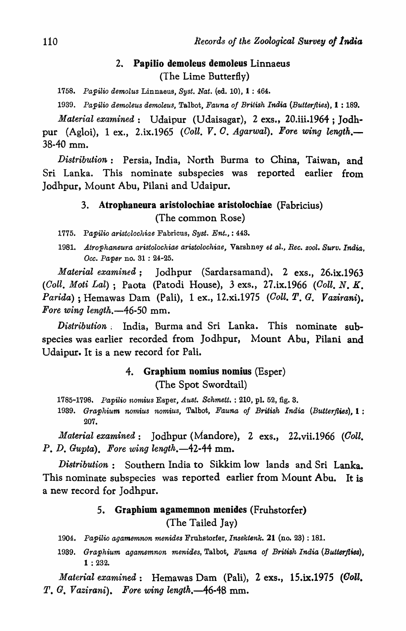## 2. Papilio demoleus demoleus Linnaeus (The Lime Butterfly)

*1758. Papilio demolus* Linnaeus, *Byst. Nat.* (ed. 10), 1 : 464.

*1939. Papilio demoleus demoleus,* Talbot, *Fauna of British India (Butterflies),* 1 : 189.

*Material examined:* Udaipur (Udaisagar), 2 exs., 20.iii.1964; Jodhpur (Agloi), 1 ex., 2.ix.1965 *(Coll. V. C. Agarwal). Fore wing length.*— 38-40 mm.

*Distribution:* Persia, India, North Burma to China, Taiwan, and Sri Lanka. This nominate subspecies was reported earlier from Jodhpur, Mount Abu, Pilani and Udaipur.

## 3. Atrophaneura aristolochiae aristolochiae (Fabricius) (The common Rose)

*1775. Papilio aristoloehiae* Fabricus, *Byst. Ent.,* : 443.

*1981. Atrophaneura aristoloehiae aristoloehiae,* Varshney *et al., Ree. zool. Surv. India, Dec. Paper* no. 31 : 24-25.

*Material examined;* Jodhpur (Sardarsamand). 2 exs., 26.ix.1963 *(Goll. Moti Lal);* Paota (Patodi House), 3 exs., 27.ix.1966 *(Goll. N. K. Parida)* ; Hemawas Dam (Pali), 1 ex., 12.xi.1975 *(Goll. T. G. Vazirani). Fore wing length.-46-50* mm.

*Distr·ibution* ~ India, Burma and Sri Lanka. This nominate subspecies was earlier recorded from Jodhpur, Mount Abu, Pilani and Udaipur. It is a new record for Pali.

# 4. Graphium nomius nomius (Esper) (The Spot Swordtail)

*1785-1798. Papilio nornius* Esper, *Aust. Schmett.* : 210, pl. 52, fig. 3. 1939. Graphium nomius nomius, Talbot, Fauna of British India (Butterflies), 1: 207.

*Material examined:* Jodhpur (Mandore), 2 exs., 22.vii.1966 *(Ooll. p. D. Gupta). Fore wing length.-42-44* mm.

*Distribution:* Southern India to Sikkim low lands and Sri Lanka. This nominate subspecies was reported earlier from Mount Abu. It is a new record for Jodhpur.

### S. Graphium agamemnon menides (Fruhstorfer)

(The Tailed Jay)

*1904. Papilio agamemnon menides* Fruhstorfer, *Insektenk.* 21 (no. 23) : 181.

*1939. Graphium agamemnon menides,* Talbot, *Fauna oj British India (Butterflies),*  1 : 232.

*Material examined*: Hemawas Dam (Pali), 2 exs., 15.ix.1975 *(Coll. T. G. Vazirani). Fore wing length.-46-48* mm.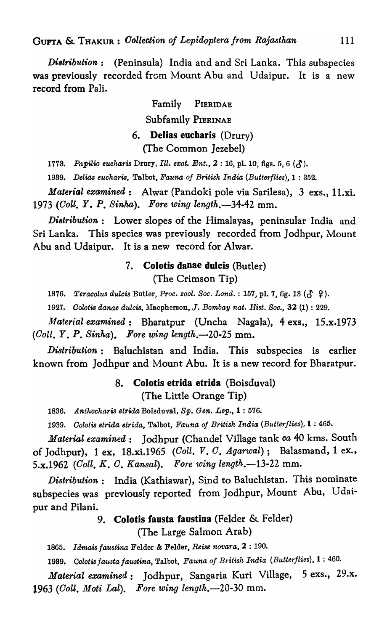GUPTA & THAKUR: *Oollection Of Lepidoptera from Rajasthan* 111

*Distribution:* (Peninsula) India and and Sri Lanka. This subspecies was previously recorded from Mount Abu and Udaipur. It is a new record from Pali.

> Family PIERIDAE Subfamily PIERINAE 6. Delias eucharis (Drury) (The Common Jezebel)

1778. Papilio eucharis Drury, *Ill. exot. Ent.*, 2:16, pl. 10, figs. 5, 6 ( $\zeta$ ).

*1989. Delias eucharis,* Talbot, *Fauna of British India {Butterflies},* 1 : 352.

*Material examined:* Alwar (Pandoki pole via Sarilesa), 3 exs., 11.xi. *1973 (Colt.* Y. p. *Sinha). Fore wing length.-34-42* mm.

*Di8tribution:* Lower slopes of the Himalayas, peninsular India and Sri Lanka. This species was previously recorded from Jodhpur, Mount Abu and Udaipur. It is a new record for Alwar.

# 7. Colotis danae dulcis (Butler) (The Crimson Tip)

1876. Teracolus dulcis Butler, *Proc. zool. Soc. Lond.* : 157, pl. 7, fig. 13 ( $\zeta$   $\hat{Y}$ ).

*1927. Oolotis danae dulcis,* 1\iacpherson, J. *Bombay nat. Hist. Soc.,* 32 (1) : 229.

*Material examined*: Bharatpur (Uncha Nagala), 4 exs., 15.x.1973 *(Coll. Y.* p. *Sinha). Fore wing length.-20-25* mm.

*Distribution*: Baluchistan and India. This subspecies is earlier known from Jodhpur and Mount Abu. It is a new record for Bharatpur.

# 8. Colotis etrida etrida (Boisduval) (The Little Orange Tip)

*1836. Anthocharis etrida* Boisduval, *Sp. Gen. Lep.,* 1 : 576.

*1939. Cololis etrida etrida,* Talbot, *Fauna of British India (Butterflies),* 1 : 465.

*Material examined:* Jodhpur (Chandel Village tank *ca* 40 kms. South of Jodhpur), 1 ex, 18.xi.1965 *(Coll. V. O. Agarwal);* Balasmand, 1 ex., 5.x.1962 *(CoIl. K. O. Kansal). Fore wing length.-13-22* mm.

*Distribution:* India (Kathiawar), Sind to Baluchistan. This nominate subspecies was previously reported from Jodhpur, Mount Abu, Udaipur and Pilani.

# 9. Colotis fausta faustina (Felder & Felder) (The Large Salmon Arab)

1865. *Idmais faustina* Felder & Felder, *Reise novara*, 2:190.

*1999. CoZotis fausta faustina,* Talbot, *Fauna of British India (Butterflies),* 1 : 460.

*Material examined:* Jodhpur, Sangaria Kuri Village, 5 exs., 29.x. *1963 (CoU, MQti Lal). Fore wing length.-20-30* mm.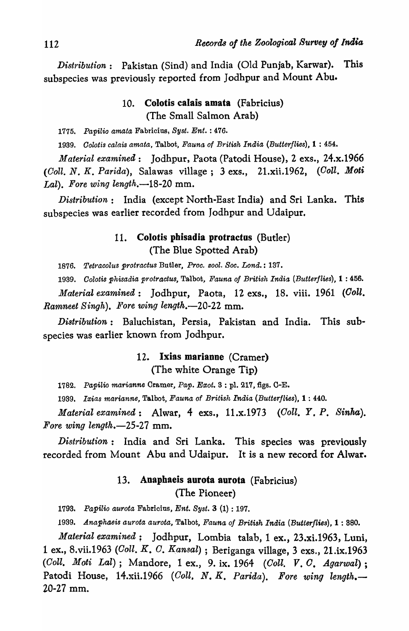*Distribution:* Pakistan (Sind) and India (Old Punjab, Karwar). This subspecies was previously reported from Jodhpur and Mount Abu.

# 10. Colotis calais amata (Fabricius) (The Small Salmon Arab)

*1775. Papilio amata* Fabricius, *Syst. Ent.* : 476.

*1939. Oolotis calais amata,* Talbot, *Fauna of British India (Butterflies),* 1 : 454.

*Material examined:* Jodhpur, Paota (Patodi House), 2 exs., 24.x.1966 *(Goll. N. K. Parida),* Salawas village; 3 exs., 21.xii.1962, *(Goll. Moti*  Lal). Fore wing length.-18-20 mm.

*Distribution:* India (except North-East India) and Sri Lanka. This subspecies was earlier recorded from Jodhpur and Udaipur.

## 11. Colotis phisadia protractus (Butler) (The Blue Spotted Arab)

*1876. Tet'l'acolus protractus* Butler, *Proc. eool. Soc. Lond.* : 137.

*1939. Oolotis phisadia tp'rotractus,* Talbot, *Fauna of B'I'itish India (Butterflies),* 1 : 456.

*Material examined:* Jodhpur, Paota, 12 exs., 18. viii. 1961 *(Goll. Ramneet Singh). Fore wing length.*-20-22 mm.

*Distribution:* Baluchistan, Persia, Pakistan and India. This subspecies was earlier known from Jodhpur.

## 12. Ixias marianne (Cramer)

(The white Orange Tip)

1782. Papilio marianne Cramer, Pap. Exot. 3 : pl. 217, figs. C-E.

*1939. Ixias marianne,* Talbot, *Fauna* of *British India (Butterflies),* 1 : 440.

*Material examined:* Alwar, 4 exs., 11.x.1973 *(Coll. Y.* p. *Sinha). Fore* wing *length.-25-27* mm.

*Distribution:* India and Sri Lanka. This species was previously recorded from Mount Abu and Udaipur. It is a new record for Alwar.

# 13. Anaphaeis aurota aurota (Fabricius) (The Pioneer)

*1793. Papilio aurota* Fabricius, *Ent. Syst.* 3 (1) : 197.

*1939. Anaphaeis aurota aurota,* Talbot, *Fauna of British India (Butterflies),* 1 : S80.

*Material examined;* Jodhpur, Lombia talab, 1 ex., 23.xi.1963, Luni, 1 ex., 8.vii.1963 *(Ooll. K. G. Kansal)* ; Beriganga village, 3 exs., 21.ix.1963 *(Coll. Moti Lal)*; Mandore, 1 ex., 9. ix. 1964 *(Coll. V. C. Agarwal*); Patodi House, 14.xii.1966 (Coll. N. K. Parida). Fore wing length.-20-27 mm.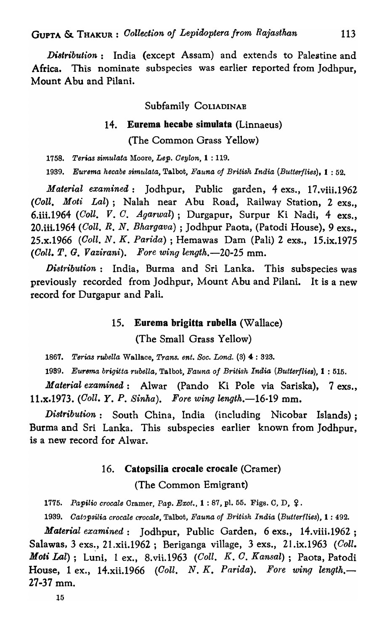*Di8tribution:* India (except Assam) and extends to Palestine and Africa. This nominate subspecies was earlier reported from Jodhpur, Mount Abu and Pilani.

## Subfamily COLIADINAE

### 14. Eurema hecabe simulata (Linnaeus)

(The Common Grass Yellow)

1758. Terias simulata Moore, *Lep. Ceylon*, **1** : 119.

*1939. Eurema hecabe simu,lata,* Talbot, *Fauna of British India (Butterflies),* 1 : 52.

*Material examined:* Jodhpur, Public garden, 4 exs., 17.viii.1962 *(Coll. Moti Lal);* Nalah near Abu Road, Railway Station, 2 exs., 6.iii.1964 *(Coll. V. C. Agarwal);* Durgapur, Surpur Ki Nadi, 4 exs., 20.iii.1964 *(Coll.* R. N. *Bhargava)* ; Jodhpur Paota, (Patodi House), 9 exs., 25.x.1966 *(Ooll. N. K. Parida)* ; Hemawas Dam (Pali) 2 exs., 15.ix.1975 *(CoIl.* T. G. *Vazirani). Fore wing lengtk.-20-25* mm.

*Distribution:* India, Burma and Sri Lanka. This subspecies was previously recorded from Jodhpur, Mount Abu and Pilani. It is a new record for Durgapur and Pali.

## 15. Eurema brigitta rubella (Wallace)

(The Small Grass Yellow)

*1867. Terias rubella* Wallace, *Trans. ent. Soc. Lond.* (3) 4 : 323.

*1939. Eurema brigitta rubella,* Talbot, *Fauna of British India (Butterflies),* I : 515.

*Material examined:* Alwar (Pando Ki Pole via Sariska), 7 exs., 11.x.1973. *(Coll. Y.* p. *Sinha). Fore wing length.-16-19* mm.

*Distribution:* South China, India (including Nicobar Islands); Burma and Sri Lanka. This subspecies earlier known from Jodhpur, is a new record for Alwar.

### 16. Catopsilia crocale crocale (Cramer)

(The Common Emigrant)

**1775.** Papilio crocale Cramer, Pap. Exot., **1** : 87, pl. 55. Figs. C, D, Q.

1939. Catopsilia crocale crocale, Talbot, *Fauna of British India (Butterflies)*, 1:492.

*Material examined:* Jodhpur, Public Garden, 6 exs., 14.viii.1962; Salawas, 3 exs., 21.xii.1962; Beriganga village, 3 exs., 21.ix.1963 *(Coll. Moti Lal*); Luni, 1 ex., 8.vii.1963 *(Coll. K. C. Kansal)*; Paota, Patodi House, 1 ex., 14.xii.1966 *(Coll. N. K. Parida). Fore wing length.-* 27-37 mm.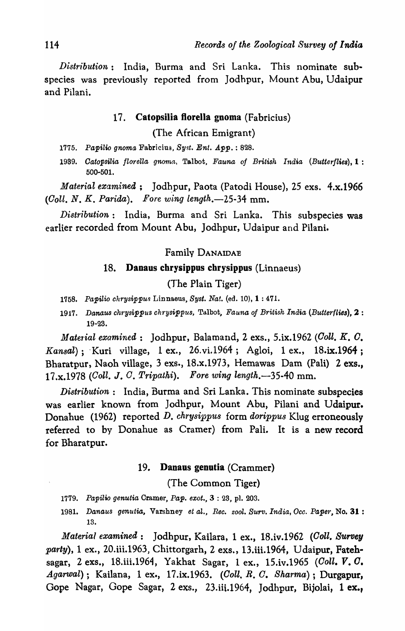*Distribution:* India, Burma and Sri Lanka. This nominate subspecies was previously reported from Jodhpur, Mount Abu, Udaipur and Pilani.

## 17. Catopsilia florella gnoma (Fabricius)

(The African Emigrant)

*1775. Papilio gnoma* Fabriciu3, *Syst. Ent. App.* : 828.

*1939. Oatopsilia florella* gnoma, Talbot, *Fauna of British India (Butter/lies),* 1 : 500-501.

*Material examined*; Jodhpur, Paota (Patodi House), 25 exs. 4.x.1966 *(Goll. N. K. Parida). Fore wing length.-25-34* mm.

*Distribution:* India, Burma and Sri Lanka. This subspecies was earlier recorded from Mount Abu, Jodhpur, Udaipur and Pilani.

Familv DANAIDAE

### 18. Danaus chrysippus chrysippus (Linnaeus)

### (The Plain Tiger)

- *1758. Papilio* chrysippu,~ Linnaeus, *Byst. Nat.* (ed. 10), 1 : 471.
- *1917. Danaus chrysippus chrysippus,* Talbot, *Fauna of British India (Butterflies),* 2 : 19-23.

*Material examined,:* Jodhpur, Balamand, 2 exs., S.ix.1962 *(Goll. K. O. Kansal);* 'Kuri village, 1 ex., 26.vi,1964; Agloi, 1 ex., 18.ix.1964; Bharatpur, Naoh village, 3 exs., 18.x.1973, Hemawas Dam (Pali) 2 exs., 17.x.1978 *(Goll.* J. *O. Tripathi). Fore wing length.-35-40* mm.

*Distribution:* India, Burma and Sri Lanka. This nominate subspecies was earlier known from Jodhpur, Mount Abu, Pilani and Udaipur. Donahue (1962) reported D. *chrysippu8* form *dorippu8* Klug erroneously referred to by Donahue as Cramer) from Pali. It is a new record for Bharatpur.

#### 19. Danaus genutia (Crammer)

(The Common Tiger)

- *1779. Papilio genutia* Cramer, *Pap. exot.,* 3 : 23, pl. 203.
- 1981. Danaus genutia, Varshney et al., Rec. zool. Surv. India, Occ. Paper, No. 31: 13.

*Material examined:* Jodhpur, Kailara, 1 ex., 18.iv.1962 *(Goll. Survey party),* 1 ex., 20.iii.1963, Chittorgarh, 2 exs., 13.iii.1964, Udaipur, Fatehsagar, 2 exs., 18.iii.1964, Yakhat Sagar, 1 ex., 15.iv.1965 *(Coll. V. C. Agarwal);* Kailana, 1 ex., 17.ix.1963. *(Goll. R. O. Sharma);* Durgapur, Gope Nagar, Gope Sagar, 2 exs., 23.iii.1964, Jodhpur, Bijolai, 1 ex.,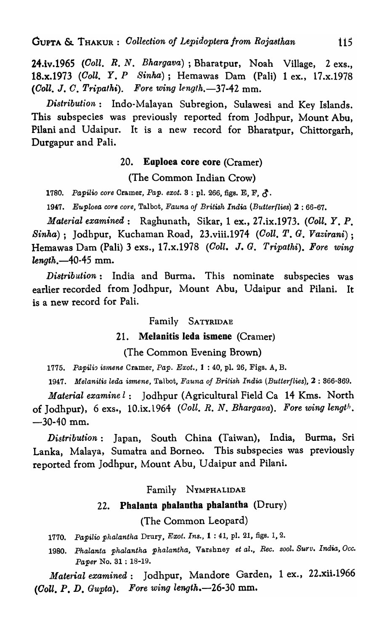24.iv.1965 *(Coll. R. N. Bhargava*); Bharatpur, Noah Village, 2 exs., 18.x.1973 *(Coll. Y •. P Sinha);* Hemawas Dam (Pali) 1 ex., 17.x.1978 *(Ooll.* J. *O. Tripalhi). Fore wing lenglh.-37-42* mm.

*Distribution:* Indo-Malayan Subregion, Sulawesi and Key Islands. This subspecies was previously reported from Jodhpur, Mount Abu, Pilani and Udaipur. It is a new record for Bharatpur, Chittorgarh, Durgapur and Pali.

## 20. Eoploea core core (Cramer)

(The Common Indian Crow)

**1780.** Papilio core Cramer, Pap. exot. 3 : pl. 266, figs. E, F,  $\hat{\mathcal{L}}$ .

1947. Euploea core core, Talbot, *Fauna of British India* (Butterflies) 2:66-67.

*Material examined:* Raghunath, Sikar, 1 ex., 27.ix.1973. *(Coll. Y.* p. *Sinha);* Jodhpur, Kuchaman Road, 23.viii.1974 *(Ooll. T. G. Vazirani);*  Hemawas Dam (Pali) 3 exs., 17.x.1978 *(Coll.* J. *G. Tripathi). Fore wing length.-40-45* mm.

*Di8trib ution:* India and Burma. This nominate subspecies was earlier recorded from Jodhpur, Mount Abu, Udaipur and Pilani. It is a new record for Pali.

### Family SATYRIDAE

### 21. Melanitis leda ismene (Cramer)

(The Common Evening Brown)

*1775. Papilia iS1nene* Cramer, *Pap. Exot.,* 1 : 40, pl. 26, Figs. A, B.

*1947. Melanitis leda ismene,* Talbot, *Fauna of British India (Butterflies),* 2 : 366-369.

*Material examine l:* Jodhpur (Agricultural Field Ca 14 Kms. North of Jodhpur), 6 exs., 10.ix.1964 *(Goll. R. N. Bhargava). Fore wing length.*  -30-40 mm.

*Distribution:* Japan, South China (Taiwan), India, Burma, Sri Lanka, Malaya, Sumatra and Borneo. This subspecies was previously reported from Jodhpur, Mount Abu, Udaipur and Pilani.

### Family NYMPHALIDAE

### 22. Pbalanta pbalantha phalantha (Drury)

(The Common Leopard)

*1770. Papilio phalantha* Drury, *Exot. Ins.,* 1 : 41, pl. 21, figs. 1,2.

1980. Phalanta phalantha phalantha, Varshney et al., Rec. zool. Surv. India, Occ. *Paper* No. 31 : 18-19.

*Material examined:* Jodhpur, Mandore Garden, 1 ex., 22.xii.1966 *(Oall.* p. *D. Gupta). Fore wing length.-26-30* mm.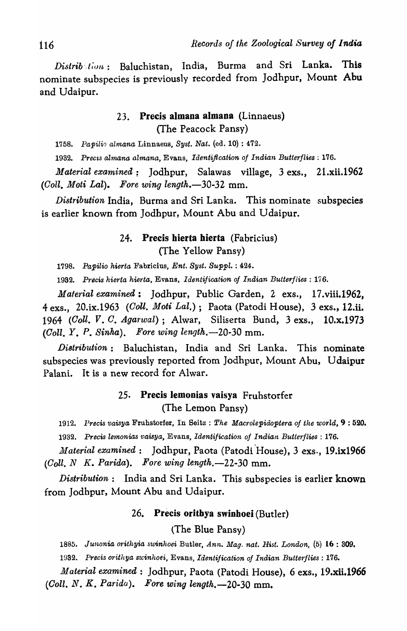*Distrib', 1;0/1,:* Baluchistan, India, Burma and Sri Lanka. This nominate subspecies is previously recorded from Jodhpur, Mount Abu and Udaipur.

## 23. Precis almana almana (Linnaeus) (The Peacock Pansy)

1758. Papilio almana Linnaeus, *Syst. Nat.* (ed. 10) : 472.

1932. Precis almana almana, Evans, *Identification of Indian Butterflies*: 176.

*Material examined;* Jodhpur, Salawas village, 3 exs., 21.xii.1962 *(Goll. Moti Lal). Fore wing length.-30-32* mm.

*Distribution* India, Burma and Sri Lanka. This nominate subspecies is earlier known from Jodhpur, Mount Abu and Udaipur.

## 24. Precis hierta hierta (Fabricius) (The Yellow Pansy)

*1798. Papilio hierta* Fabricius, *Ent. Syst. SuppZ.* : 424.

*1932. Precis hierta hierta,* Evans, *Identification oj Indian Butterflies: 176.* 

*Material examined:* Jodhpur, Public Garden, 2 exs., 17.viii.1962, 4 exs., 20.ix.1963 *(Goll. Moti'LaZ.);* Paota (Patodi House), 3 exs., 12.ii. *1964 (Coll. V. G. Agarwal);* Alwar, Siliserta Bund, 3 exs., lO.x.1973 *(Coll.* Y. *p. Sinha). Fore wing length.-20-30* mm.

*Di8tribution:* Baluchistan, India and Sri Lanka. This nominate subspecies was previously reported from Jodhpur, Mount Abu, Udaipur Palani. It is a new record for Alwar.

# 25. Precis lemonias vaisya Fruhstorfer (The Lemon Pansy)

*1912. l)recis vaisya.* Fruhstorfer, In Seitz: *The Macrolepidoptera of the world,* 9 : 520. *1932. Precis lemonias vaisya,* Evans, *Identification of Indian Butterflies: 176.* 

*Material examined*: Jodhpur, Paota (Patodi House), 3 exs., 19.ix1966 *(Goll. N K. Pat·ida). Fore wing length.-22-30* mm.

*Distribution:* India and Sri Lanka. This subspecies is earlier known from Jodhpur, Mount Abu and Udaipur.

## 26. Precis oritbya swinhoei (Butler)

(The Blue Pansy)

*1885. Junonia orithyia swinhoei* Butler, *Ann. Mag, nat. Hist. London,* (5) 16 : 309. 19**32.** Precis orithya swinhoei, Evans, *Identification of Indian Butterflies*: 176.

*Material examined:* Jodhpur, Paota (Patodi House), 6 exs., 19.xii.1966 *(Goll. N. K. Parida). Fore wing length.-20-30* mm.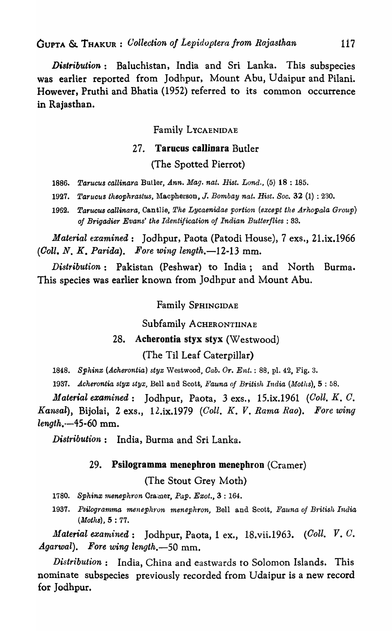GUPTA & THAKUR: *(}ollection oj Lepidoptera from Rajasthan* 117

*Distribution:* Baluchistan, India and Sri Lanka. This subspecies was earlier reported from Jodhpur, Mount Abu, Udaipur and Pilani. However, Pruthi and Bhatia (1952) referred to its common occurrence in Rajasthan.

Family LYCAENIDAE

## 27. Tarucus callinara Butler

## (The Spotted Pierrot)

- 1886. Tarucus callinara Butler, *Ann. Mag. nat. Hist. Lond.*, (5) 18:185.
- *1927. Tarucus theophraslus,* l\iacpherson, *J. Bombay nat. Hist. Soc.* 32 (1) : 230.
- 1962. Tarucus callinara, Cantlie, *The Lycaenidae portion (except the Arhopala Group) of Brigadier Evans' the Identification of Indian Butterflies: 33.*

*Material examined:* Jodhpur, Paota (Patodi House), 7 exs., 21.ix.1966 *(Ooll. N. K. Parida). Fore wing length.-12-13* mm.

*Distribution:* Pakistan (Peshwar) to India; and North Burma. This species was earlier known from Jodhpur and Mount Abu.

## Family SPHINGIDAE

Subfamily ACHERONTIINAE

### 28. Acherontia styx styx (Westwood)

## (The Til Leaf Caterpillar)

1848. Sphinx (Acherontia) styx Westwood, *Cab. Or. Ent.* : 88, pl. 42, Fig. 3.

*1937. .Acherontia styx styx,* Bell and Scott, *Fauna of British India (Moths),* 5 : 58.

*Material examined*: Jodhpur, Paota, 3 exs., 15.ix.1961 *(Coll. K. C. Kansal),* Bijolai, 2 exs., 12.ix.1979 *(Coll. K. V. Rama Rao). F'ore wing length.--45-60* mm.

*Distribution*: India, Burma and Sri Lanka.

### 29. Psilogramma menephron menephron  $(Cramer)$

(The Stout Grey Moth)

- *1780. Sphinx '1nenephron* Cramer, *Pap. Exot.,* 3 : 164.
- 1937. Psilogramma menephron menephron, Bell and Scott, *Fauna of British India (Moths),* 5 : 77.

*Material exarnined:* Jodhpur, Paota, 1 ex., 18.vii.1963. *(Goll. V. C. Agarwal*). Fore wing length.-50 mm.

*Distribution:* India, China and eastwards to Solomon Islands. This nominate subspecies previously recorded from Udaipur is a new record for Jodhpur.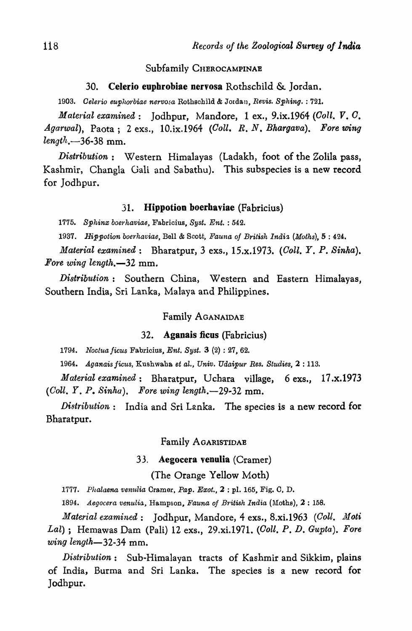### Subfamily CHEROCAMPINAE

### 30. Celerio euphrobiae nervosa Rothschild & Jordan.

1903. Celerio euphorbiae nervosa Rothschild & Jordan, *Revis. Sphing.* : 721.

*Material examined:* Jodhpur, Mandore, 1 ex., 9.ix.1964 *(CoIl. V. O. Agarwal),* Paota; 2 exs., 10.ix.1964 *(Ooll. R. N. Bhargava). Fore wing length.-36-38* mm.

*Distribution:* Western Himalayas (Ladakh, foot of the Zolila pass, Kashmir, Changla Gali and Sabathu). This subspecies is a new record for Jodhpur.

### 31. Hippotion boerhaviae (Fabricius)

*1775. Sphinx boerhaviae,* Fabricius, *Byst. Ent.* : 542.

*1937. Hippotion boerhaviae,* Bell & Scott, *Fauna of British Indi1, (Moths),* 5 : 424.

*Material examined:* Bharatpur, 3 exs., 15.x.1973. *(Goll.* Y. *p. Sinha). Fore wing length.-32* mm.

*Distribution:* Southern China, Western and Eastern Himalayas, Southern India, Sri Lanka, Malaya and Philippines.

## Family AGANAIDAE

#### 32. Agsnais ficus (Fabricius)

*1794. Noclua ficus* Fabricius, *Ent. Syst.* 3 (2) : 27, 62.

1964. Aganais *ficus,* Kushwaha *et al., Univ. Udaipur Res. Studies,* 2 : 113.

*Material examined:* Bharatpur, Uehara village, 6 exs., 17.x.1973 *(Coll. Y. P. Sinha). Fore wing length.*-29-32 mm.

*Distribution*: India and Sri Lanka. The species is a new record for Bharatpur.

#### Family AGARISTIDAE

### 33. Aegocera venulia (Cramer)

(The Orange Yellow Moth)

1777. Phalaena venulia Cramer, Pap. Exot., 2 : pl. 165, Fig. C, D.

1894. *Aegocera venulia*, Hampson, *Fauna of British India* (Moths), 2: 158.

*Material examined*: Jodhpur, Mandore, 4 exs., 8.xi.1963 *(Coll. Moti Lal*); Hemawas Dam (Pali) 12 exs., 29.xi.1971. *(Coll. P. D. Gupta). Fore wing length-32-34* mm.

*Distribution:* Sub-Himalayan tracts of Kashmir and Sikkim, plains of India, Burma and Sri Lanka. The species is a new record for Jodhpur.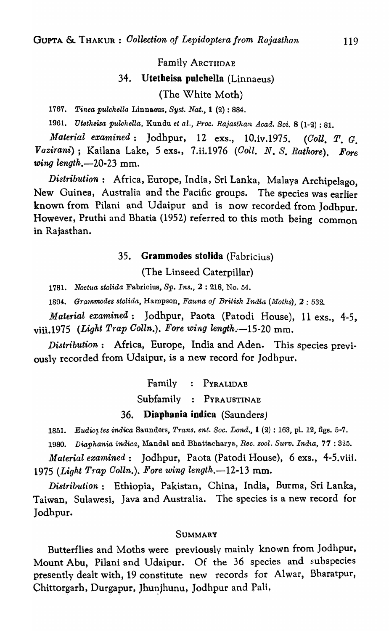Family ARCTIIDAE

#### 34. Utetheisa pulcbella (Linnaeus)

(The White Moth)

*1767. Tinea pulchella* Linnaeus, *Syst. Nat.,* I (2) : 884.

*1961. Utetheisa pulchella,* Kundu *et al., Proc. Rajasthan Acad. Sci.* 8 (1-2) : 81.

*Material examined:* Jodhpur, 12 exs., lO.iv.1975. *(Ooll, T. G. Vazirani*); Kailana Lake, 5 exs., 7.ii.1976 *(Coll. N. S. Rathore). Fore wing length.-20-23* mm.

*Distribution:* Africa, Europe, India, Sri Lanka, Malaya Archipelago, New Guinea, Australia and the Pacific groups. The species was earlier known from Pilani and Udaipur and is now recorded from Jodhpur. However, Pruthi and Bhatia (1952) referred to this moth being common in Rajasthan.

### 35. Grammodes stolida (Fabricius)

(The Linseed Caterpillar)

1781. *Noctua stolida* Fabricius, *Sp. Ins.,* 2 : 218, No. 54.

*1894. Gra'lnmodes stolida,* Hampson, *Fauna of British India (Moths),* 2 : 532.

*Material examined;* Jodhpur, Paota (Patodi House), 11 exs., 4-5, viii.1975 *(Light Trap Colln.). Fore wing length.* -15-20 mm.

*Distribution:* Africa, Europe, India and Aden. This species previ-0usly recorded from Udaipur, is a new record for Jodhpur.

Family PYRALIDAE

Subfamily PYRAUSTINAE

36. Diaphania indica (Saunders)

1851. Eudiot tes indica Saunders, *Trans. ent. Soc. Lond.*, 1 (2): 163, pl. 12, figs. 5-7.

*1980. Diaphania indica,* 1\ianda.1 and Bhattacharya, *Ree. zool. Surv. India,* 77 : 825.

*Material examined:* Jodhpur, Paota (Patodi House), 6 exs., 4-S.viii. *1975 (Light Trap Golln.). Fore wing length.-12-13* mm.

*Distribution*: Ethiopia, Pakistan, China, India, Burma, Sri Lanka, Taiwan, Sulawesi, Java and Australia. The species is a new record for Jodhpur.

### **SUMMARY**

Butterflies and Moths were previously mainly known from Jodhpur, Mount Abu, Pilani and Udaipur. Of the 36 species and subspecies presently dealt with, 19 constitute new records for Alwar, Bharatpur, Chittorgarh, Durgapur, Jhunjhunu, Jodhpur and Pali,